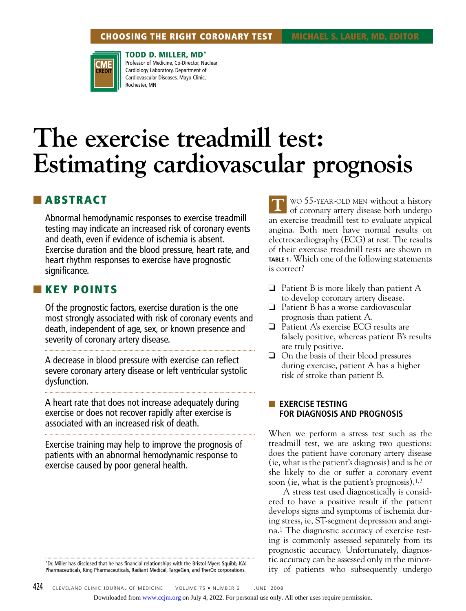

**TODD D. MILLER, MD\*** Professor of Medicine, Co-Director, Nuclear Cardiology Laboratory, Department of Cardiovascular Diseases, Mayo Clinic, Rochester, MN

# **The exercise treadmill test: Estimating cardiovascular prognosis**

# ■ **ABSTRACT**

Abnormal hemodynamic responses to exercise treadmill testing may indicate an increased risk of coronary events and death, even if evidence of ischemia is absent. Exercise duration and the blood pressure, heart rate, and heart rhythm responses to exercise have prognostic significance.

# ■ **KEY POINTS**

Of the prognostic factors, exercise duration is the one most strongly associated with risk of coronary events and death, independent of age, sex, or known presence and severity of coronary artery disease.

A decrease in blood pressure with exercise can reflect severe coronary artery disease or left ventricular systolic dysfunction.

A heart rate that does not increase adequately during exercise or does not recover rapidly after exercise is associated with an increased risk of death.

Exercise training may help to improve the prognosis of patients with an abnormal hemodynamic response to exercise caused by poor general health.

\*Dr. Miller has disclosed that he has financial relationships with the Bristol Myers Squibb, KAI Pharmaceuticals, King Pharmaceuticals, Radiant Medical, TargeGen, and TherOx corporations.

WO 55-YEAR-OLD MEN without a history of coronary artery disease both undergo an exercise treadmill test to evaluate atypical angina. Both men have normal results on electrocardiography (ECG) at rest. The results of their exercise treadmill tests are shown in **TABLE 1**. Which one of the following statements is correct? **T**

- $\Box$  Patient B is more likely than patient A to develop coronary artery disease.
- ❑ Patient B has a worse cardiovascular prognosis than patient A.
- ❑ Patient A's exercise ECG results are falsely positive, whereas patient B's results are truly positive.
- ❑ On the basis of their blood pressures during exercise, patient A has a higher risk of stroke than patient B.

## ■ **EXERCISE TESTING FOR DIAGNOSIS AND PROGNOSIS**

When we perform a stress test such as the treadmill test, we are asking two questions: does the patient have coronary artery disease (ie, what is the patient's diagnosis) and is he or she likely to die or suffer a coronary event soon (ie, what is the patient's prognosis).1,2

A stress test used diagnostically is considered to have a positive result if the patient develops signs and symptoms of ischemia during stress, ie, ST-segment depression and angina.1 The diagnostic accuracy of exercise testing is commonly assessed separately from its prognostic accuracy. Unfortunately, diagnostic accuracy can be assessed only in the minority of patients who subsequently undergo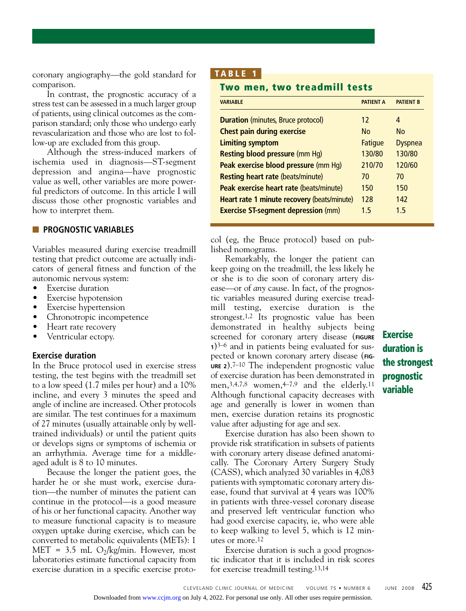coronary angiography—the gold standard for comparison.

In contrast, the prognostic accuracy of a stress test can be assessed in a much larger group of patients, using clinical outcomes as the comparison standard; only those who undergo early revascularization and those who are lost to follow-up are excluded from this group.

Although the stress-induced markers of ischemia used in diagnosis—ST-segment depression and angina—have prognostic value as well, other variables are more powerful predictors of outcome. In this article I will discuss those other prognostic variables and how to interpret them.

## ■ **PROGNOSTIC VARIABLES**

Variables measured during exercise treadmill testing that predict outcome are actually indicators of general fitness and function of the autonomic nervous system:

- Exercise duration
- Exercise hypotension
- Exercise hypertension
- Chronotropic incompetence
- Heart rate recovery
- Ventricular ectopy.

## **Exercise duration**

In the Bruce protocol used in exercise stress testing, the test begins with the treadmill set to a low speed (1.7 miles per hour) and a 10% incline, and every 3 minutes the speed and angle of incline are increased. Other protocols are similar. The test continues for a maximum of 27 minutes (usually attainable only by welltrained individuals) or until the patient quits or develops signs or symptoms of ischemia or an arrhythmia. Average time for a middleaged adult is 8 to 10 minutes.

Because the longer the patient goes, the harder he or she must work, exercise duration—the number of minutes the patient can continue in the protocol—is a good measure of his or her functional capacity. Another way to measure functional capacity is to measure oxygen uptake during exercise, which can be converted to metabolic equivalents (METs): 1 MET = 3.5 mL  $O_2/kg/min$ . However, most laboratories estimate functional capacity from exercise duration in a specific exercise proto-

# **T A BLE 1**

# **Two men, two treadmill tests**

| <b>VARIABLE</b>                             | <b>PATIENT A</b> | <b>PATIFNT B</b> |
|---------------------------------------------|------------------|------------------|
| <b>Duration</b> (minutes, Bruce protocol)   | 12               | 4                |
| <b>Chest pain during exercise</b>           | N <sub>0</sub>   | N <sub>0</sub>   |
| <b>Limiting symptom</b>                     | <b>Fatigue</b>   | <b>Dyspnea</b>   |
| <b>Resting blood pressure (mm Hg)</b>       | 130/80           | 130/80           |
| Peak exercise blood pressure (mm Hq)        | 210/70           | 120/60           |
| <b>Resting heart rate (beats/minute)</b>    | 70               | 70               |
| Peak exercise heart rate (beats/minute)     | 150              | 150              |
| Heart rate 1 minute recovery (beats/minute) | 128              | 142              |
| <b>Exercise ST-segment depression (mm)</b>  | 15               | 15               |

col (eg, the Bruce protocol) based on published nomograms.

Remarkably, the longer the patient can keep going on the treadmill, the less likely he or she is to die soon of coronary artery disease—or of *any* cause. In fact, of the prognostic variables measured during exercise treadmill testing, exercise duration is the strongest.1,2 Its prognostic value has been demonstrated in healthy subjects being screened for coronary artery disease (**FIGURE <sup>1</sup>**)3–6 and in patients being evaluated for suspected or known coronary artery disease (**FIG-URE 2**).7–10 The independent prognostic value of exercise duration has been demonstrated in men, 3, 4, 7,8 women, 4-7, 9 and the elderly.<sup>11</sup> Although functional capacity decreases with age and generally is lower in women than men, exercise duration retains its prognostic value after adjusting for age and sex.

Exercise duration has also been shown to provide risk stratification in subsets of patients with coronary artery disease defined anatomically. The Coronary Artery Surgery Study (CASS), which analyzed 30 variables in 4,083 patients with symptomatic coronary artery disease, found that survival at 4 years was 100% in patients with three-vessel coronary disease and preserved left ventricular function who had good exercise capacity, ie, who were able to keep walking to level 5, which is 12 minutes or more.12

Exercise duration is such a good prognostic indicator that it is included in risk scores for exercise treadmill testing.13,14

# **Exercise duration is the strongest prognostic variable**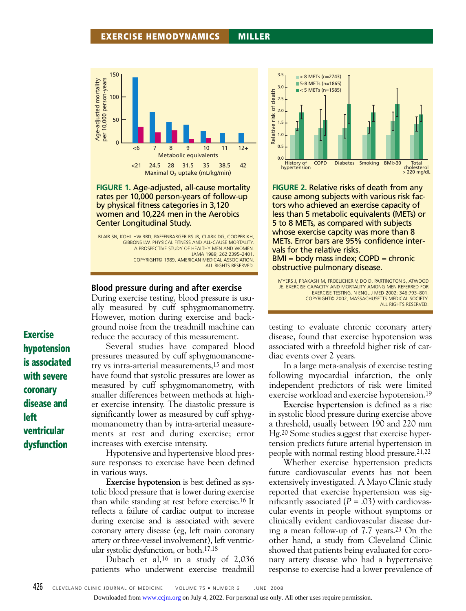

**FIGURE 1.** Age-adjusted, all-cause mortality rates per 10,000 person-years of follow-up by physical fitness categories in 3,120 women and 10,224 men in the Aerobics Center Longitudinal Study.

BLAIR SN, KOHL HW 3RD, PAFFENBARGER RS JR, CLARK DG, COOPER KH, GIBBONS LW. PHYSICAL FITNESS AND ALL-CAUSE MORTALITY. A PROSPECTIVE STUDY OF HEALTHY MEN AND WOMEN. JAMA 1989; 262:2395–2401. COPYRIGHT© 1989, AMERICAN MEDICAL ASSOCIATION. ALL RIGHTS RESERVED.

#### **Blood pressure during and after exercise**

During exercise testing, blood pressure is usually measured by cuff sphygmomanometry. However, motion during exercise and background noise from the treadmill machine can reduce the accuracy of this measurement.

Several studies have compared blood pressures measured by cuff sphygmomanometry vs intra-arterial measurements,15 and most have found that systolic pressures are lower as measured by cuff sphygmomanometry, with smaller differences between methods at higher exercise intensity. The diastolic pressure is significantly lower as measured by cuff sphygmomanometry than by intra-arterial measurements at rest and during exercise; error increases with exercise intensity.

Hypotensive and hypertensive blood pressure responses to exercise have been defined in various ways.

**Exercise hypotension** is best defined as systolic blood pressure that is lower during exercise than while standing at rest before exercise.16 It reflects a failure of cardiac output to increase during exercise and is associated with severe coronary artery disease (eg, left main coronary artery or three-vessel involvement), left ventricular systolic dysfunction, or both.17,18

Dubach et al,16 in a study of 2,036 patients who underwent exercise treadmill



**FIGURE 2.** Relative risks of death from any cause among subjects with various risk factors who achieved an exercise capacity of less than 5 metabolic equivalents (METs) or 5 to 8 METs, as compared with subjects whose exercise capcity was more than 8 METs. Error bars are 95% confidence intervals for the relative risks.  $BMI = body$  mass index; COPD = chronic

obstructive pulmonary disease.

MYERS J, PRAKASH M, FROELICHER V, DO D, PARTINGTON S, ATWOOD JE. EXERCISE CAPACITY AND MORTALITY AMONG MEN REFERRED FOR EXERCISE TESTING. N ENGL J MED 2002; 346:793–801. COPYRIGHT© 2002, MASSACHUSETTS MEDICAL SOCIETY. ALL RIGHTS RESERVED.

testing to evaluate chronic coronary artery disease, found that exercise hypotension was associated with a threefold higher risk of cardiac events over 2 years.

In a large meta-analysis of exercise testing following myocardial infarction, the only independent predictors of risk were limited exercise workload and exercise hypotension.19

**Exercise hypertension** is defined as a rise in systolic blood pressure during exercise above a threshold, usually between 190 and 220 mm Hg.20 Some studies suggest that exercise hypertension predicts future arterial hypertension in people with normal resting blood pressure.21,22

Whether exercise hypertension predicts future cardiovascular events has not been extensively investigated. A Mayo Clinic study reported that exercise hypertension was significantly associated  $(P = .03)$  with cardiovascular events in people without symptoms or clinically evident cardiovascular disease during a mean follow-up of 7.7 years.23 On the other hand, a study from Cleveland Clinic showed that patients being evaluated for coronary artery disease who had a hypertensive response to exercise had a lower prevalence of

**Exercise hypotension is associated with severe coronary disease and left ventricular dysfunction**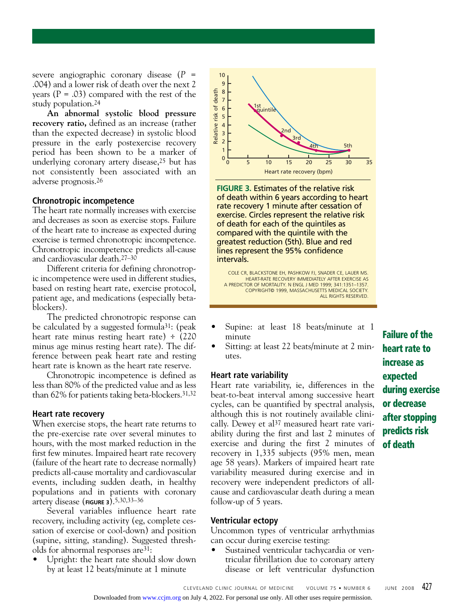severe angiographic coronary disease (*P* = .004) and a lower risk of death over the next 2 years ( $P = .03$ ) compared with the rest of the study population.24

**An abnormal systolic blood pressure recovery ratio,** defined as an increase (rather than the expected decrease) in systolic blood pressure in the early postexercise recovery period has been shown to be a marker of underlying coronary artery disease,25 but has not consistently been associated with an adverse prognosis.26

#### **Chronotropic incompetence**

The heart rate normally increases with exercise and decreases as soon as exercise stops. Failure of the heart rate to increase as expected during exercise is termed chronotropic incompetence. Chronotropic incompetence predicts all-cause and cardiovascular death.27–30

Different criteria for defining chronotropic incompetence were used in different studies, based on resting heart rate, exercise protocol, patient age, and medications (especially betablockers).

The predicted chronotropic response can be calculated by a suggested formula31: (peak heart rate minus resting heart rate) ÷ (220 minus age minus resting heart rate). The difference between peak heart rate and resting heart rate is known as the heart rate reserve.

Chronotropic incompetence is defined as less than 80% of the predicted value and as less than 62% for patients taking beta-blockers.31,32

#### **Heart rate recovery**

When exercise stops, the heart rate returns to the pre-exercise rate over several minutes to hours, with the most marked reduction in the first few minutes. Impaired heart rate recovery (failure of the heart rate to decrease normally) predicts all-cause mortality and cardiovascular events, including sudden death, in healthy populations and in patients with coronary artery disease (**FIGURE 3**).5,30,33–36

Several variables influence heart rate recovery, including activity (eg, complete cessation of exercise or cool-down) and position (supine, sitting, standing). Suggested thresholds for abnormal responses are31:

• Upright: the heart rate should slow down by at least 12 beats/minute at 1 minute



**FIGURE 3.** Estimates of the relative risk of death within 6 years according to heart rate recovery 1 minute after cessation of exercise. Circles represent the relative risk of death for each of the quintiles as compared with the quintile with the greatest reduction (5th). Blue and red lines represent the 95% confidence intervals.

COLE CR, BLACKSTONE EH, PASHKOW FJ, SNADER CE, LAUER MS. HEART-RATE RECOVERY IMMEDIATELY AFTER EXERCISE AS A PREDICTOR OF MORTALITY. N ENGL J MED 1999; 341:1351–1357. COPYRIGHT© 1999, MASSACHUSETTS MEDICAL SOCIETY. ALL RIGHTS RESERVED.

- Supine: at least 18 beats/minute at 1 minute
- Sitting: at least 22 beats/minute at 2 minutes.

#### **Heart rate variability**

Heart rate variability, ie, differences in the beat-to-beat interval among successive heart cycles, can be quantified by spectral analysis, although this is not routinely available clinically. Dewey et al<sup>37</sup> measured heart rate variability during the first and last 2 minutes of exercise and during the first 2 minutes of recovery in 1,335 subjects (95% men, mean age 58 years). Markers of impaired heart rate variability measured during exercise and in recovery were independent predictors of allcause and cardiovascular death during a mean follow-up of 5 years.

#### **Ventricular ectopy**

Uncommon types of ventricular arrhythmias can occur during exercise testing:

• Sustained ventricular tachycardia or ventricular fibrillation due to coronary artery disease or left ventricular dysfunction **Failure of the heart rate to increase as expected during exercise or decrease after stopping predicts risk of death**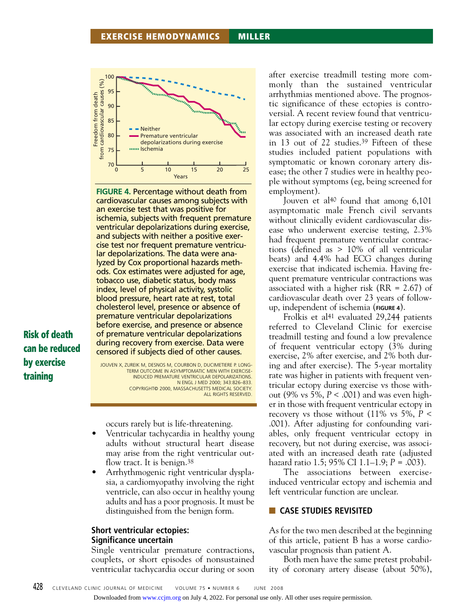

**FIGURE 4.** Percentage without death from cardiovascular causes among subjects with an exercise test that was positive for ischemia, subjects with frequent premature ventricular depolarizations during exercise, and subjects with neither a positive exercise test nor frequent premature ventricular depolarizations. The data were analyzed by Cox proportional hazards methods. Cox estimates were adjusted for age, tobacco use, diabetic status, body mass index, level of physical activity, systolic blood pressure, heart rate at rest, total cholesterol level, presence or absence of premature ventricular depolarizations before exercise, and presence or absence of premature ventricular depolarizations during recovery from exercise. Data were censored if subjects died of other causes.

**Risk of death can be reduced by exercise training**

JOUVEN X, ZUREIK M, DESNOS M, COURBON D, DUCIMETIERE P. LONG-TERM OUTCOME IN ASYMPTOMATIC MEN WITH EXERCISE-INDUCED PREMATURE VENTRICULAR DEPOLARIZATIONS. N ENGL J MED 2000; 343:826–833. COPYRIGHT© 2000, MASSACHUSETTS MEDICAL SOCIETY. ALL RIGHTS RESERVED.

occurs rarely but is life-threatening.

- Ventricular tachycardia in healthy young adults without structural heart disease may arise from the right ventricular outflow tract. It is benign.<sup>38</sup>
- Arrhythmogenic right ventricular dysplasia, a cardiomyopathy involving the right ventricle, can also occur in healthy young adults and has a poor prognosis. It must be distinguished from the benign form.

## **Short ventricular ectopies: Significance uncertain**

Single ventricular premature contractions, couplets, or short episodes of nonsustained ventricular tachycardia occur during or soon after exercise treadmill testing more commonly than the sustained ventricular arrhythmias mentioned above. The prognostic significance of these ectopies is controversial. A recent review found that ventricular ectopy during exercise testing or recovery was associated with an increased death rate in 13 out of 22 studies.39 Fifteen of these studies included patient populations with symptomatic or known coronary artery disease; the other 7 studies were in healthy people without symptoms (eg, being screened for employment).

Jouven et al<sup>40</sup> found that among 6,101 asymptomatic male French civil servants without clinically evident cardiovascular disease who underwent exercise testing, 2.3% had frequent premature ventricular contractions (defined as > 10% of all ventricular beats) and 4.4% had ECG changes during exercise that indicated ischemia. Having frequent premature ventricular contractions was associated with a higher risk (RR = 2.67) of cardiovascular death over 23 years of followup, independent of ischemia (**FIGURE 4**).

Frolkis et al<sup>41</sup> evaluated 29,244 patients referred to Cleveland Clinic for exercise treadmill testing and found a low prevalence of frequent ventricular ectopy (3% during exercise, 2% after exercise, and 2% both during and after exercise). The 5-year mortality rate was higher in patients with frequent ventricular ectopy during exercise vs those without (9% vs 5%, *P* < .001) and was even higher in those with frequent ventricular ectopy in recovery vs those without  $(11\%$  vs  $5\%$ ,  $P \le$ .001). After adjusting for confounding variables, only frequent ventricular ectopy in recovery, but not during exercise, was associated with an increased death rate (adjusted hazard ratio 1.5; 95% CI 1.1–1.9; *P* = .003).

The associations between exerciseinduced ventricular ectopy and ischemia and left ventricular function are unclear.

# ■ **CASE STUDIES REVISITED**

As for the two men described at the beginning of this article, patient B has a worse cardiovascular prognosis than patient A.

Both men have the same pretest probability of coronary artery disease (about 50%),

Downloaded from [www.ccjm.org](http://www.ccjm.org/) on July 4, 2022. For personal use only. All other uses require permission.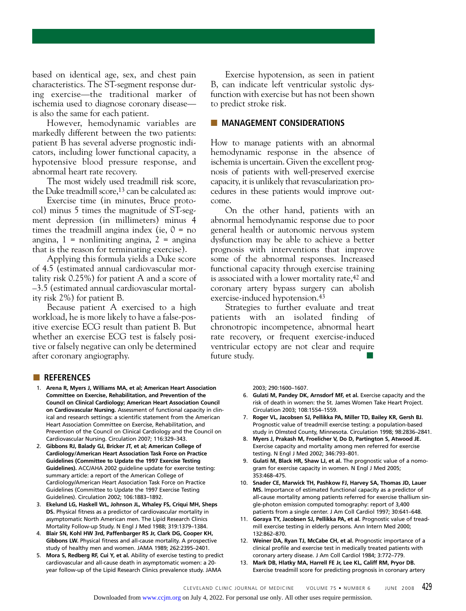based on identical age, sex, and chest pain characteristics. The ST-segment response during exercise—the traditional marker of ischemia used to diagnose coronary disease is also the same for each patient.

However, hemodynamic variables are markedly different between the two patients: patient B has several adverse prognostic indicators, including lower functional capacity, a hypotensive blood pressure response, and abnormal heart rate recovery.

The most widely used treadmill risk score, the Duke treadmill score,<sup>13</sup> can be calculated as:

Exercise time (in minutes, Bruce protocol) minus 5 times the magnitude of ST-segment depression (in millimeters) minus 4 times the treadmill angina index (ie,  $0 = no$ angina,  $1 =$  nonlimiting angina,  $2 =$  angina that is the reason for terminating exercise).

Applying this formula yields a Duke score of 4.5 (estimated annual cardiovascular mortality risk 0.25%) for patient A and a score of –3.5 (estimated annual cardiovascular mortality risk 2%) for patient B.

Because patient A exercised to a high workload, he is more likely to have a false-positive exercise ECG result than patient B. But whether an exercise ECG test is falsely positive or falsely negative can only be determined after coronary angiography.

Exercise hypotension, as seen in patient B, can indicate left ventricular systolic dysfunction with exercise but has not been shown to predict stroke risk.

#### ■ **MANAGEMENT CONSIDERATIONS**

How to manage patients with an abnormal hemodynamic response in the absence of ischemia is uncertain. Given the excellent prognosis of patients with well-preserved exercise capacity, it is unlikely that revascularization procedures in these patients would improve outcome.

On the other hand, patients with an abnormal hemodynamic response due to poor general health or autonomic nervous system dysfunction may be able to achieve a better prognosis with interventions that improve some of the abnormal responses. Increased functional capacity through exercise training is associated with a lower mortality rate,42 and coronary artery bypass surgery can abolish exercise-induced hypotension.43

Strategies to further evaluate and treat patients with an isolated finding of chronotropic incompetence, abnormal heart rate recovery, or frequent exercise-induced ventricular ectopy are not clear and require future study.

#### ■ **REFERENCES**

- 1. **Arena R, Myers J, Williams MA, et al; American Heart Association Committee on Exercise, Rehabilitation, and Prevention of the Council on Clinical Cardiology; American Heart Association Council on Cardiovascular Nursing.** Assessment of functional capacity in clinical and research settings: a scientific statement from the American Heart Association Committee on Exercise, Rehabilitation, and Prevention of the Council on Clinical Cardiology and the Council on Cardiovascular Nursing. Circulation 2007; 116:329–343.
- 2. **Gibbons RJ, Balady GJ, Bricker JT, et al; American College of Cardiology/American Heart Association Task Force on Practice Guidelines (Committee to Update the 1997 Exercise Testing Guidelines).** ACC/AHA 2002 guideline update for exercise testing: summary article: a report of the American College of Cardiology/American Heart Association Task Force on Practice Guidelines (Committee to Update the 1997 Exercise Testing Guidelines). Circulation 2002; 106:1883–1892.
- 3. **Ekelund LG, Haskell WL, Johnson JL, Whaley FS, Criqui MH, Sheps DS.** Physical fitness as a predictor of cardiovascular mortality in asymptomatic North American men. The Lipid Research Clinics Mortality Follow-up Study. N Engl J Med 1988; 319:1379–1384.
- 4. **Blair SN, Kohl HW 3rd, Paffenbarger RS Jr, Clark DG, Cooper KH, Gibbons LW.** Physical fitness and all-cause mortality. A prospective study of healthy men and women. JAMA 1989; 262:2395–2401.
- 5. **Mora S, Redberg RF, Cui Y, et al.** Ability of exercise testing to predict cardiovascular and all-cause death in asymptomatic women: a 20 year follow-up of the Lipid Research Clinics prevalence study. JAMA

2003; 290:1600–1607.

- 6. **Gulati M, Pandey DK, Arnsdorf MF, et al.** Exercise capacity and the risk of death in women: the St. James Women Take Heart Project. Circulation 2003; 108:1554–1559.
- 7. **Roger VL, Jacobsen SJ, Pellikka PA, Miller TD, Bailey KR, Gersh BJ.** Prognostic value of treadmill exercise testing: a population-based study in Olmsted County, Minnesota. Circulation 1998; 98:2836–2841.
- 8. **Myers J, Prakash M, Froelicher V, Do D, Partington S, Atwood JE.** Exercise capacity and mortality among men referred for exercise testing. N Engl J Med 2002; 346:793–801.
- 9. **Gulati M, Black HR, Shaw LJ, et al.** The prognostic value of a nomogram for exercise capacity in women. N Engl J Med 2005; 353:468–475.
- 10. **Snader CE, Marwick TH, Pashkow FJ, Harvey SA, Thomas JD, Lauer MS.** Importance of estimated functional capacity as a predictor of all-cause mortality among patients referred for exercise thallium single-photon emission computed tomography: report of 3,400 patients from a single center. J Am Coll Cardiol 1997; 30:641–648.
- 11. **Goraya TY, Jacobsen SJ, Pellikka PA, et al.** Prognostic value of treadmill exercise testing in elderly persons. Ann Intern Med 2000; 132:862–870.
- 12. **Weiner DA, Ryan TJ, McCabe CH, et al.** Prognostic importance of a clinical profile and exercise test in medically treated patients with coronary artery disease. J Am Coll Cardiol 1984; 3:772–779.
- 13. **Mark DB, Hlatky MA, Harrell FE Jr, Lee KL, Califf RM, Pryor DB.** Exercise treadmill score for predicting prognosis in coronary artery